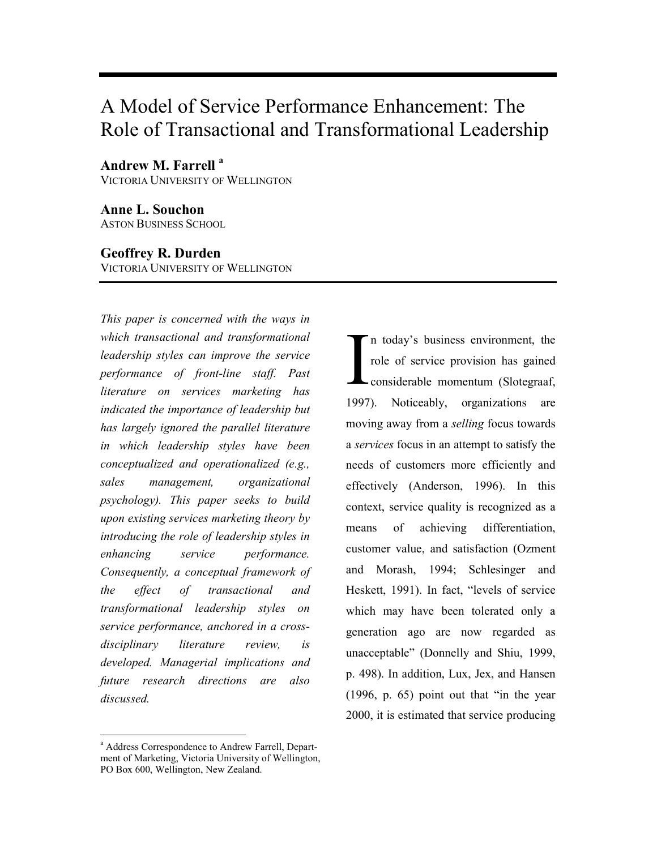# A Model of Service Performance Enhancement: The Role of Transactional and Transformational Leadership

Andrew M. Farrell<sup>a</sup> VICTORIA UNIVERSITY OF WELLINGTON

Anne L. Souchon ASTON BUSINESS SCHOOL

### Geoffrey R. Durden

VICTORIA UNIVERSITY OF WELLINGTON

This paper is concerned with the ways in which transactional and transformational leadership styles can improve the service performance of front-line staff. Past literature on services marketing has indicated the importance of leadership but has largely ignored the parallel literature in which leadership styles have been conceptualized and operationalized (e.g., sales management, organizational psychology). This paper seeks to build upon existing services marketing theory by introducing the role of leadership styles in enhancing service performance. Consequently, a conceptual framework of the effect of transactional and transformational leadership styles on service performance, anchored in a crossdisciplinary literature review, is developed. Managerial implications and future research directions are also discussed.

<sup>a</sup> Address Correspondence to Andrew Farrell, Department of Marketing, Victoria University of Wellington, PO Box 600, Wellington, New Zealand.

-

n today's business environment, the role of service provision has gained considerable momentum (Slotegraaf, 1997). Noticeably, organizations are moving away from a selling focus towards a services focus in an attempt to satisfy the needs of customers more efficiently and effectively (Anderson, 1996). In this context, service quality is recognized as a means of achieving differentiation, customer value, and satisfaction (Ozment and Morash, 1994; Schlesinger and Heskett, 1991). In fact, "levels of service which may have been tolerated only a generation ago are now regarded as unacceptable" (Donnelly and Shiu, 1999, p. 498). In addition, Lux, Jex, and Hansen (1996, p. 65) point out that "in the year 2000, it is estimated that service producing  $\prod_{1007}$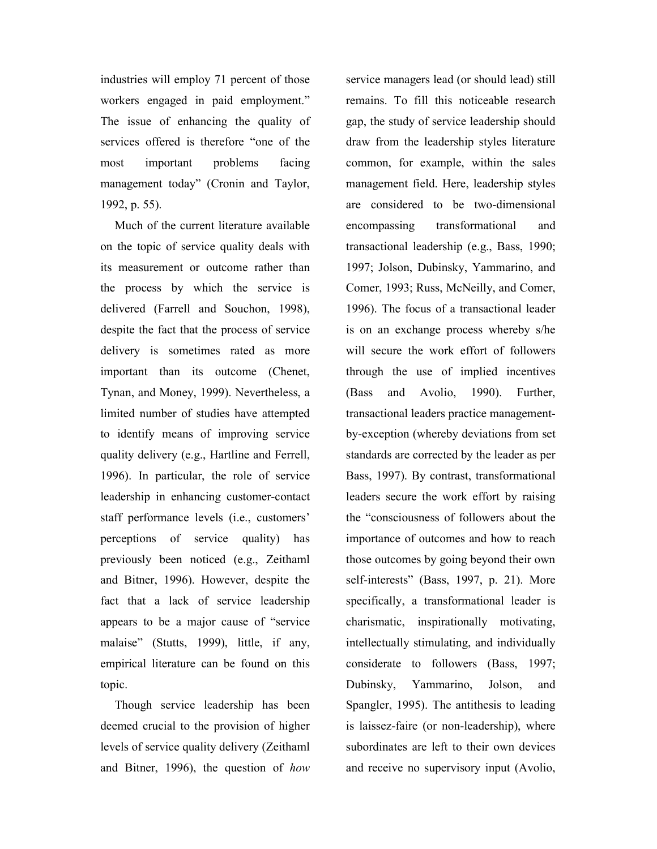industries will employ 71 percent of those workers engaged in paid employment." The issue of enhancing the quality of services offered is therefore "one of the most important problems facing management today" (Cronin and Taylor, 1992, p. 55).

Much of the current literature available on the topic of service quality deals with its measurement or outcome rather than the process by which the service is delivered (Farrell and Souchon, 1998), despite the fact that the process of service delivery is sometimes rated as more important than its outcome (Chenet, Tynan, and Money, 1999). Nevertheless, a limited number of studies have attempted to identify means of improving service quality delivery (e.g., Hartline and Ferrell, 1996). In particular, the role of service leadership in enhancing customer-contact staff performance levels (i.e., customers' perceptions of service quality) has previously been noticed (e.g., Zeithaml and Bitner, 1996). However, despite the fact that a lack of service leadership appears to be a major cause of "service malaise" (Stutts, 1999), little, if any, empirical literature can be found on this topic.

Though service leadership has been deemed crucial to the provision of higher levels of service quality delivery (Zeithaml and Bitner, 1996), the question of how service managers lead (or should lead) still remains. To fill this noticeable research gap, the study of service leadership should draw from the leadership styles literature common, for example, within the sales management field. Here, leadership styles are considered to be two-dimensional encompassing transformational and transactional leadership (e.g., Bass, 1990; 1997; Jolson, Dubinsky, Yammarino, and Comer, 1993; Russ, McNeilly, and Comer, 1996). The focus of a transactional leader is on an exchange process whereby s/he will secure the work effort of followers through the use of implied incentives (Bass and Avolio, 1990). Further, transactional leaders practice managementby-exception (whereby deviations from set standards are corrected by the leader as per Bass, 1997). By contrast, transformational leaders secure the work effort by raising the "consciousness of followers about the importance of outcomes and how to reach those outcomes by going beyond their own self-interests" (Bass, 1997, p. 21). More specifically, a transformational leader is charismatic, inspirationally motivating, intellectually stimulating, and individually considerate to followers (Bass, 1997; Dubinsky, Yammarino, Jolson, and Spangler, 1995). The antithesis to leading is laissez-faire (or non-leadership), where subordinates are left to their own devices and receive no supervisory input (Avolio,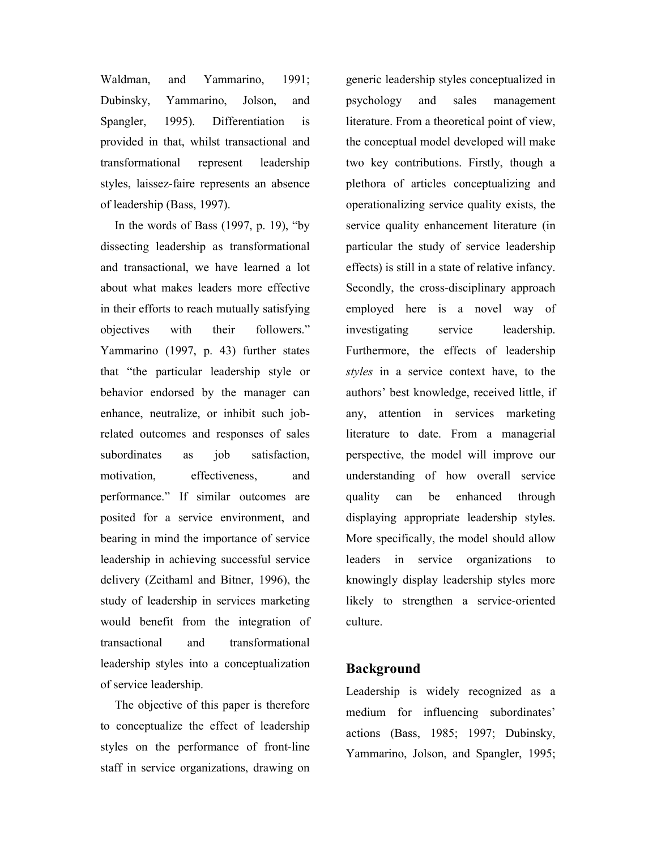Waldman, and Yammarino, 1991; Dubinsky, Yammarino, Jolson, and Spangler, 1995). Differentiation is provided in that, whilst transactional and transformational represent leadership styles, laissez-faire represents an absence of leadership (Bass, 1997).

In the words of Bass  $(1997, p. 19)$ , "by dissecting leadership as transformational and transactional, we have learned a lot about what makes leaders more effective in their efforts to reach mutually satisfying objectives with their followers." Yammarino (1997, p. 43) further states that "the particular leadership style or behavior endorsed by the manager can enhance, neutralize, or inhibit such jobrelated outcomes and responses of sales subordinates as job satisfaction, motivation, effectiveness, and performance." If similar outcomes are posited for a service environment, and bearing in mind the importance of service leadership in achieving successful service delivery (Zeithaml and Bitner, 1996), the study of leadership in services marketing would benefit from the integration of transactional and transformational leadership styles into a conceptualization of service leadership.

The objective of this paper is therefore to conceptualize the effect of leadership styles on the performance of front-line staff in service organizations, drawing on generic leadership styles conceptualized in psychology and sales management literature. From a theoretical point of view, the conceptual model developed will make two key contributions. Firstly, though a plethora of articles conceptualizing and operationalizing service quality exists, the service quality enhancement literature (in particular the study of service leadership effects) is still in a state of relative infancy. Secondly, the cross-disciplinary approach employed here is a novel way of investigating service leadership. Furthermore, the effects of leadership styles in a service context have, to the authors' best knowledge, received little, if any, attention in services marketing literature to date. From a managerial perspective, the model will improve our understanding of how overall service quality can be enhanced through displaying appropriate leadership styles. More specifically, the model should allow leaders in service organizations to knowingly display leadership styles more likely to strengthen a service-oriented culture.

### Background

Leadership is widely recognized as a medium for influencing subordinates' actions (Bass, 1985; 1997; Dubinsky, Yammarino, Jolson, and Spangler, 1995;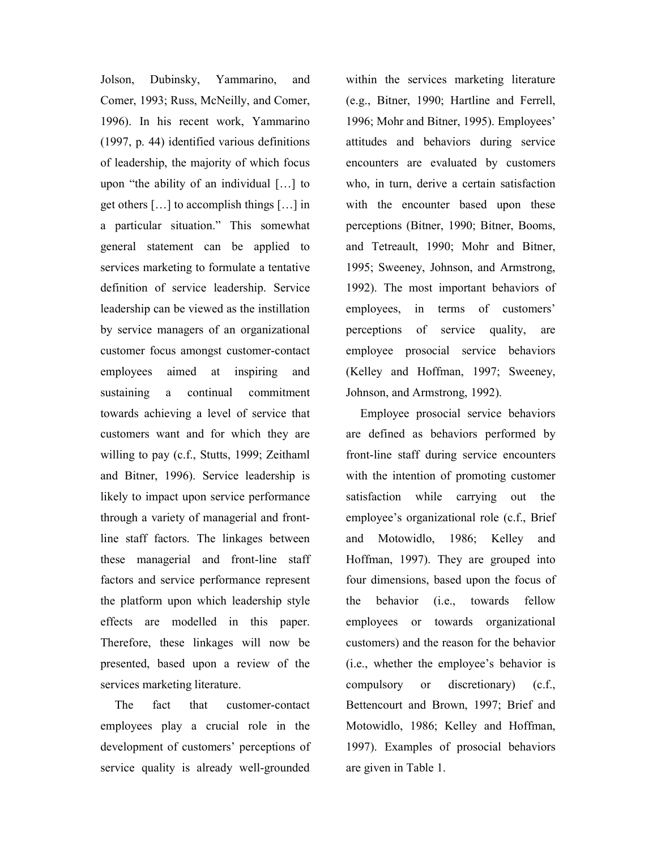Jolson, Dubinsky, Yammarino, and Comer, 1993; Russ, McNeilly, and Comer, 1996). In his recent work, Yammarino (1997, p. 44) identified various definitions of leadership, the majority of which focus upon "the ability of an individual […] to get others […] to accomplish things […] in a particular situation." This somewhat general statement can be applied to services marketing to formulate a tentative definition of service leadership. Service leadership can be viewed as the instillation by service managers of an organizational customer focus amongst customer-contact employees aimed at inspiring and sustaining a continual commitment towards achieving a level of service that customers want and for which they are willing to pay (c.f., Stutts, 1999; Zeithaml and Bitner, 1996). Service leadership is likely to impact upon service performance through a variety of managerial and frontline staff factors. The linkages between these managerial and front-line staff factors and service performance represent the platform upon which leadership style effects are modelled in this paper. Therefore, these linkages will now be presented, based upon a review of the services marketing literature.

The fact that customer-contact employees play a crucial role in the development of customers' perceptions of service quality is already well-grounded within the services marketing literature (e.g., Bitner, 1990; Hartline and Ferrell, 1996; Mohr and Bitner, 1995). Employees' attitudes and behaviors during service encounters are evaluated by customers who, in turn, derive a certain satisfaction with the encounter based upon these perceptions (Bitner, 1990; Bitner, Booms, and Tetreault, 1990; Mohr and Bitner, 1995; Sweeney, Johnson, and Armstrong, 1992). The most important behaviors of employees, in terms of customers' perceptions of service quality, are employee prosocial service behaviors (Kelley and Hoffman, 1997; Sweeney, Johnson, and Armstrong, 1992).

Employee prosocial service behaviors are defined as behaviors performed by front-line staff during service encounters with the intention of promoting customer satisfaction while carrying out the employee's organizational role (c.f., Brief and Motowidlo, 1986; Kelley and Hoffman, 1997). They are grouped into four dimensions, based upon the focus of the behavior (i.e., towards fellow employees or towards organizational customers) and the reason for the behavior (i.e., whether the employee's behavior is compulsory or discretionary) (c.f., Bettencourt and Brown, 1997; Brief and Motowidlo, 1986; Kelley and Hoffman, 1997). Examples of prosocial behaviors are given in Table 1.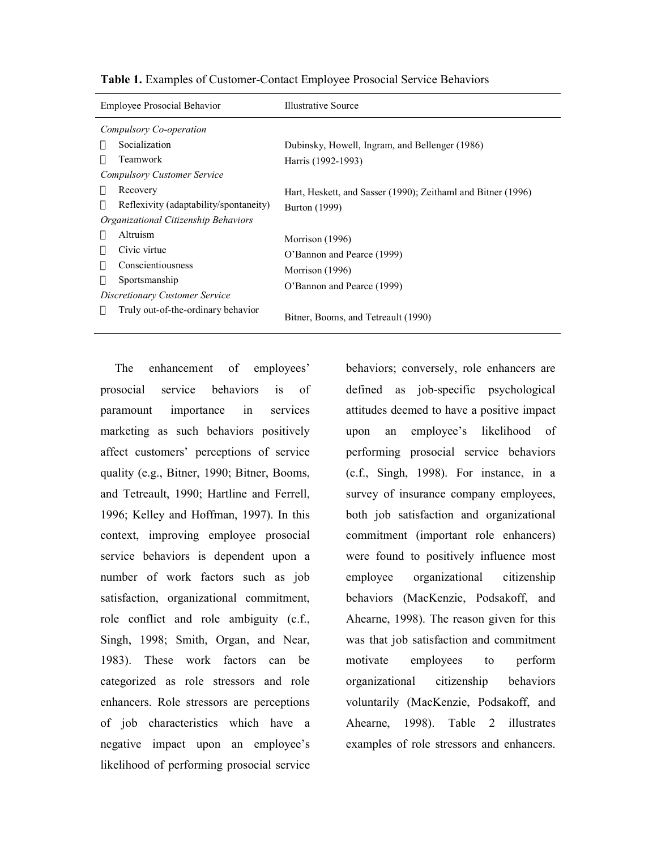| <b>Employee Prosocial Behavior</b>     | Illustrative Source                                                                            |  |
|----------------------------------------|------------------------------------------------------------------------------------------------|--|
| Compulsory Co-operation                |                                                                                                |  |
| Socialization                          | Dubinsky, Howell, Ingram, and Bellenger (1986)                                                 |  |
| Teamwork                               | Harris (1992-1993)                                                                             |  |
| Compulsory Customer Service            |                                                                                                |  |
| Recovery                               | Hart, Heskett, and Sasser (1990); Zeithaml and Bitner (1996)                                   |  |
| Reflexivity (adaptability/spontaneity) | Burton (1999)                                                                                  |  |
| Organizational Citizenship Behaviors   |                                                                                                |  |
| Altruism                               | Morrison (1996)<br>O'Bannon and Pearce (1999)<br>Morrison (1996)<br>O'Bannon and Pearce (1999) |  |
| Civic virtue                           |                                                                                                |  |
| Conscientiousness                      |                                                                                                |  |
| Sportsmanship                          |                                                                                                |  |
| Discretionary Customer Service         |                                                                                                |  |
| Truly out-of-the-ordinary behavior     | Bitner, Booms, and Tetreault (1990)                                                            |  |

Table 1. Examples of Customer-Contact Employee Prosocial Service Behaviors

The enhancement of employees' prosocial service behaviors is of paramount importance in services marketing as such behaviors positively affect customers' perceptions of service quality (e.g., Bitner, 1990; Bitner, Booms, and Tetreault, 1990; Hartline and Ferrell, 1996; Kelley and Hoffman, 1997). In this context, improving employee prosocial service behaviors is dependent upon a number of work factors such as job satisfaction, organizational commitment, role conflict and role ambiguity (c.f., Singh, 1998; Smith, Organ, and Near, 1983). These work factors can be categorized as role stressors and role enhancers. Role stressors are perceptions of job characteristics which have a negative impact upon an employee's likelihood of performing prosocial service

behaviors; conversely, role enhancers are defined as job-specific psychological attitudes deemed to have a positive impact upon an employee's likelihood of performing prosocial service behaviors (c.f., Singh, 1998). For instance, in a survey of insurance company employees, both job satisfaction and organizational commitment (important role enhancers) were found to positively influence most employee organizational citizenship behaviors (MacKenzie, Podsakoff, and Ahearne, 1998). The reason given for this was that job satisfaction and commitment motivate employees to perform organizational citizenship behaviors voluntarily (MacKenzie, Podsakoff, and Ahearne, 1998). Table 2 illustrates examples of role stressors and enhancers.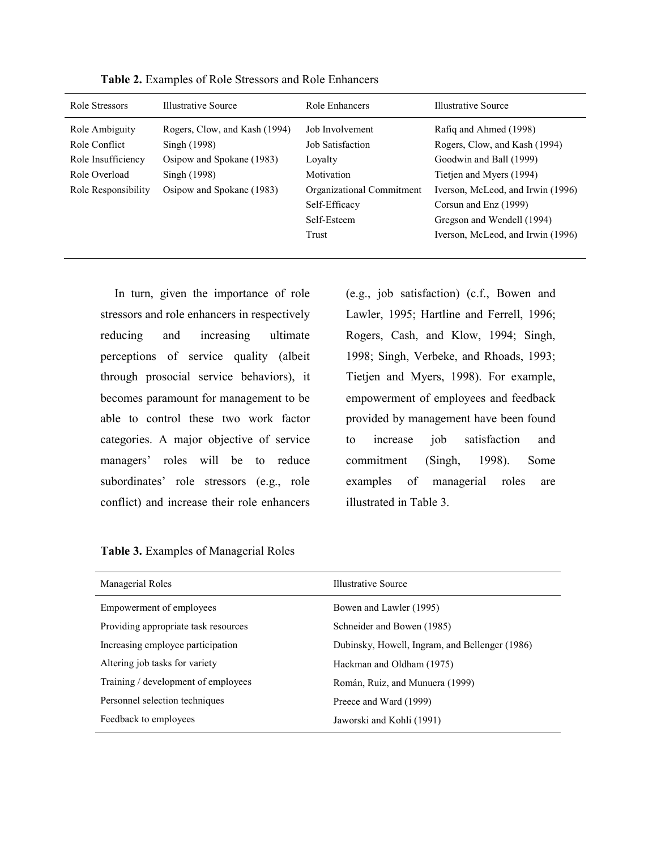| Role Stressors      | Illustrative Source           | Role Enhancers            | Illustrative Source               |
|---------------------|-------------------------------|---------------------------|-----------------------------------|
| Role Ambiguity      | Rogers, Clow, and Kash (1994) | Job Involvement           | Rafiq and Ahmed (1998)            |
| Role Conflict       | Singh (1998)                  | Job Satisfaction          | Rogers, Clow, and Kash (1994)     |
| Role Insufficiency  | Osipow and Spokane (1983)     | Lovalty                   | Goodwin and Ball (1999)           |
| Role Overload       | Singh (1998)                  | Motivation                | Tietien and Myers (1994)          |
| Role Responsibility | Osipow and Spokane (1983)     | Organizational Commitment | Iverson, McLeod, and Irwin (1996) |
|                     |                               | Self-Efficacy             | Corsun and Enz (1999)             |
|                     |                               | Self-Esteem               | Gregson and Wendell (1994)        |
|                     |                               | Trust                     | Iverson, McLeod, and Irwin (1996) |
|                     |                               |                           |                                   |

Table 2. Examples of Role Stressors and Role Enhancers

In turn, given the importance of role stressors and role enhancers in respectively reducing and increasing ultimate perceptions of service quality (albeit through prosocial service behaviors), it becomes paramount for management to be able to control these two work factor categories. A major objective of service managers' roles will be to reduce subordinates' role stressors (e.g., role conflict) and increase their role enhancers (e.g., job satisfaction) (c.f., Bowen and Lawler, 1995; Hartline and Ferrell, 1996; Rogers, Cash, and Klow, 1994; Singh, 1998; Singh, Verbeke, and Rhoads, 1993; Tietjen and Myers, 1998). For example, empowerment of employees and feedback provided by management have been found to increase job satisfaction and commitment (Singh, 1998). Some examples of managerial roles are illustrated in Table 3.

| Illustrative Source                            |
|------------------------------------------------|
| Bowen and Lawler (1995)                        |
| Schneider and Bowen (1985)                     |
| Dubinsky, Howell, Ingram, and Bellenger (1986) |
| Hackman and Oldham (1975)                      |
| Román, Ruiz, and Munuera (1999)                |
| Preece and Ward (1999)                         |
| Jaworski and Kohli (1991)                      |
|                                                |

Table 3. Examples of Managerial Roles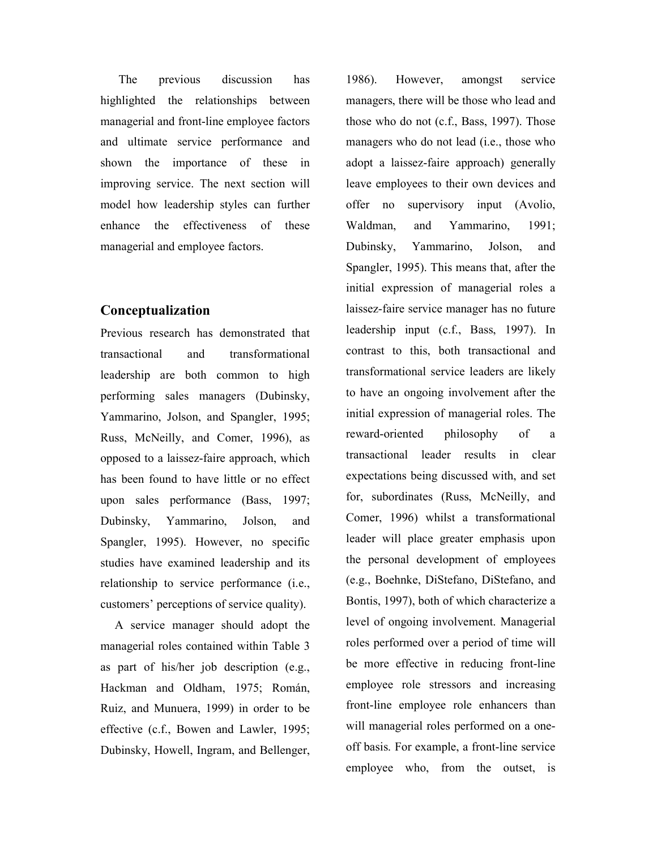The previous discussion has highlighted the relationships between managerial and front-line employee factors and ultimate service performance and shown the importance of these in improving service. The next section will model how leadership styles can further enhance the effectiveness of these managerial and employee factors.

## Conceptualization

Previous research has demonstrated that transactional and transformational leadership are both common to high performing sales managers (Dubinsky, Yammarino, Jolson, and Spangler, 1995; Russ, McNeilly, and Comer, 1996), as opposed to a laissez-faire approach, which has been found to have little or no effect upon sales performance (Bass, 1997; Dubinsky, Yammarino, Jolson, and Spangler, 1995). However, no specific studies have examined leadership and its relationship to service performance (i.e., customers' perceptions of service quality).

A service manager should adopt the managerial roles contained within Table 3 as part of his/her job description (e.g., Hackman and Oldham, 1975; Román, Ruiz, and Munuera, 1999) in order to be effective (c.f., Bowen and Lawler, 1995; Dubinsky, Howell, Ingram, and Bellenger,

1986). However, amongst service managers, there will be those who lead and those who do not (c.f., Bass, 1997). Those managers who do not lead (i.e., those who adopt a laissez-faire approach) generally leave employees to their own devices and offer no supervisory input (Avolio, Waldman, and Yammarino, 1991; Dubinsky, Yammarino, Jolson, and Spangler, 1995). This means that, after the initial expression of managerial roles a laissez-faire service manager has no future leadership input (c.f., Bass, 1997). In contrast to this, both transactional and transformational service leaders are likely to have an ongoing involvement after the initial expression of managerial roles. The reward-oriented philosophy of a transactional leader results in clear expectations being discussed with, and set for, subordinates (Russ, McNeilly, and Comer, 1996) whilst a transformational leader will place greater emphasis upon the personal development of employees (e.g., Boehnke, DiStefano, DiStefano, and Bontis, 1997), both of which characterize a level of ongoing involvement. Managerial roles performed over a period of time will be more effective in reducing front-line employee role stressors and increasing front-line employee role enhancers than will managerial roles performed on a oneoff basis. For example, a front-line service employee who, from the outset, is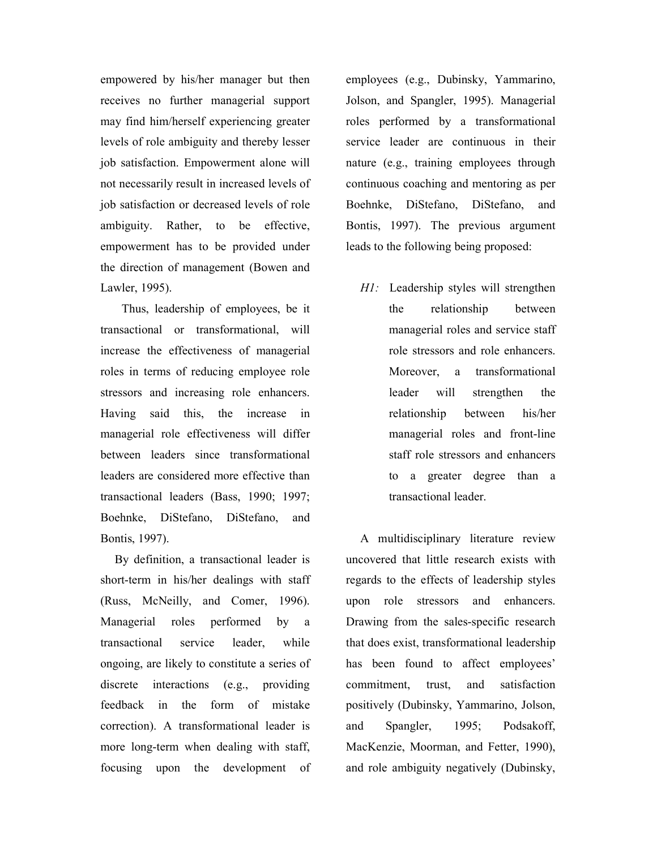empowered by his/her manager but then receives no further managerial support may find him/herself experiencing greater levels of role ambiguity and thereby lesser job satisfaction. Empowerment alone will not necessarily result in increased levels of job satisfaction or decreased levels of role ambiguity. Rather, to be effective, empowerment has to be provided under the direction of management (Bowen and Lawler, 1995).

Thus, leadership of employees, be it transactional or transformational, will increase the effectiveness of managerial roles in terms of reducing employee role stressors and increasing role enhancers. Having said this, the increase in managerial role effectiveness will differ between leaders since transformational leaders are considered more effective than transactional leaders (Bass, 1990; 1997; Boehnke, DiStefano, DiStefano, and Bontis, 1997).

By definition, a transactional leader is short-term in his/her dealings with staff (Russ, McNeilly, and Comer, 1996). Managerial roles performed by a transactional service leader, while ongoing, are likely to constitute a series of discrete interactions (e.g., providing feedback in the form of mistake correction). A transformational leader is more long-term when dealing with staff, focusing upon the development of employees (e.g., Dubinsky, Yammarino, Jolson, and Spangler, 1995). Managerial roles performed by a transformational service leader are continuous in their nature (e.g., training employees through continuous coaching and mentoring as per Boehnke, DiStefano, DiStefano, and Bontis, 1997). The previous argument leads to the following being proposed:

H1: Leadership styles will strengthen the relationship between managerial roles and service staff role stressors and role enhancers. Moreover, a transformational leader will strengthen the relationship between his/her managerial roles and front-line staff role stressors and enhancers to a greater degree than a transactional leader.

A multidisciplinary literature review uncovered that little research exists with regards to the effects of leadership styles upon role stressors and enhancers. Drawing from the sales-specific research that does exist, transformational leadership has been found to affect employees' commitment, trust, and satisfaction positively (Dubinsky, Yammarino, Jolson, and Spangler, 1995; Podsakoff, MacKenzie, Moorman, and Fetter, 1990), and role ambiguity negatively (Dubinsky,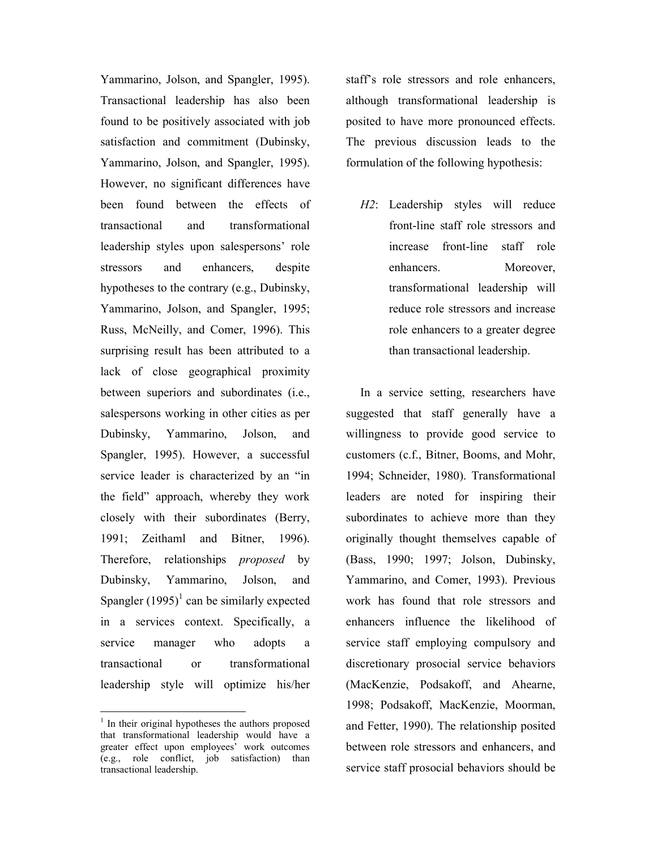Yammarino, Jolson, and Spangler, 1995). Transactional leadership has also been found to be positively associated with job satisfaction and commitment (Dubinsky, Yammarino, Jolson, and Spangler, 1995). However, no significant differences have been found between the effects of transactional and transformational leadership styles upon salespersons' role stressors and enhancers, despite hypotheses to the contrary (e.g., Dubinsky, Yammarino, Jolson, and Spangler, 1995; Russ, McNeilly, and Comer, 1996). This surprising result has been attributed to a lack of close geographical proximity between superiors and subordinates (i.e., salespersons working in other cities as per Dubinsky, Yammarino, Jolson, and Spangler, 1995). However, a successful service leader is characterized by an "in the field" approach, whereby they work closely with their subordinates (Berry, 1991; Zeithaml and Bitner, 1996). Therefore, relationships *proposed* by Dubinsky, Yammarino, Jolson, and Spangler  $(1995)^1$  can be similarly expected in a services context. Specifically, a service manager who adopts a transactional or transformational leadership style will optimize his/her

-

staff's role stressors and role enhancers, although transformational leadership is posited to have more pronounced effects. The previous discussion leads to the formulation of the following hypothesis:

H2: Leadership styles will reduce front-line staff role stressors and increase front-line staff role enhancers. Moreover, transformational leadership will reduce role stressors and increase role enhancers to a greater degree than transactional leadership.

In a service setting, researchers have suggested that staff generally have a willingness to provide good service to customers (c.f., Bitner, Booms, and Mohr, 1994; Schneider, 1980). Transformational leaders are noted for inspiring their subordinates to achieve more than they originally thought themselves capable of (Bass, 1990; 1997; Jolson, Dubinsky, Yammarino, and Comer, 1993). Previous work has found that role stressors and enhancers influence the likelihood of service staff employing compulsory and discretionary prosocial service behaviors (MacKenzie, Podsakoff, and Ahearne, 1998; Podsakoff, MacKenzie, Moorman, and Fetter, 1990). The relationship posited between role stressors and enhancers, and service staff prosocial behaviors should be

<sup>&</sup>lt;sup>1</sup> In their original hypotheses the authors proposed that transformational leadership would have a greater effect upon employees' work outcomes (e.g., role conflict, job satisfaction) than transactional leadership.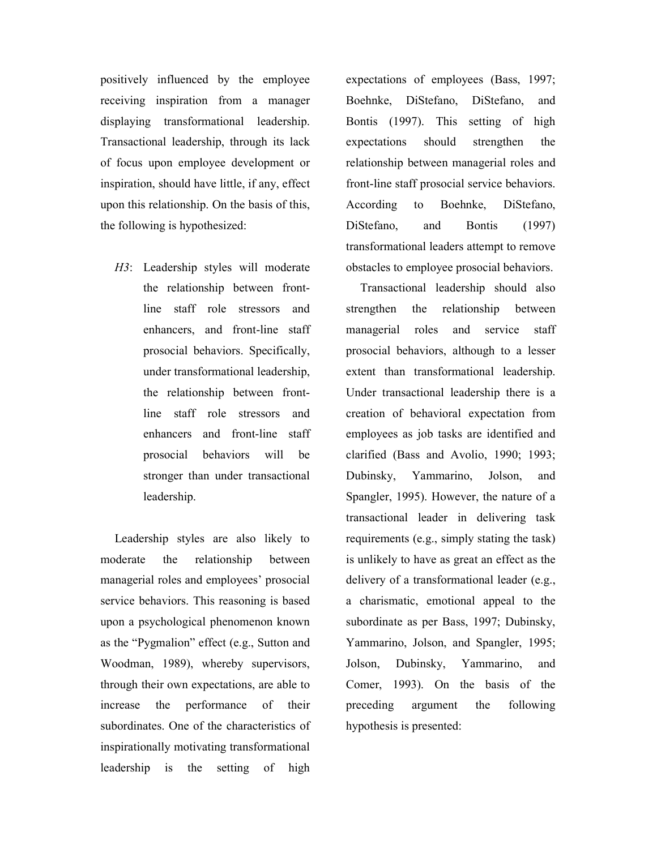positively influenced by the employee receiving inspiration from a manager displaying transformational leadership. Transactional leadership, through its lack of focus upon employee development or inspiration, should have little, if any, effect upon this relationship. On the basis of this, the following is hypothesized:

H3: Leadership styles will moderate the relationship between frontline staff role stressors and enhancers, and front-line staff prosocial behaviors. Specifically, under transformational leadership, the relationship between frontline staff role stressors and enhancers and front-line staff prosocial behaviors will be stronger than under transactional leadership.

Leadership styles are also likely to moderate the relationship between managerial roles and employees' prosocial service behaviors. This reasoning is based upon a psychological phenomenon known as the "Pygmalion" effect (e.g., Sutton and Woodman, 1989), whereby supervisors, through their own expectations, are able to increase the performance of their subordinates. One of the characteristics of inspirationally motivating transformational leadership is the setting of high expectations of employees (Bass, 1997; Boehnke, DiStefano, DiStefano, and Bontis (1997). This setting of high expectations should strengthen the relationship between managerial roles and front-line staff prosocial service behaviors. According to Boehnke, DiStefano, DiStefano, and Bontis (1997) transformational leaders attempt to remove obstacles to employee prosocial behaviors.

Transactional leadership should also strengthen the relationship between managerial roles and service staff prosocial behaviors, although to a lesser extent than transformational leadership. Under transactional leadership there is a creation of behavioral expectation from employees as job tasks are identified and clarified (Bass and Avolio, 1990; 1993; Dubinsky, Yammarino, Jolson, and Spangler, 1995). However, the nature of a transactional leader in delivering task requirements (e.g., simply stating the task) is unlikely to have as great an effect as the delivery of a transformational leader (e.g., a charismatic, emotional appeal to the subordinate as per Bass, 1997; Dubinsky, Yammarino, Jolson, and Spangler, 1995; Jolson, Dubinsky, Yammarino, and Comer, 1993). On the basis of the preceding argument the following hypothesis is presented: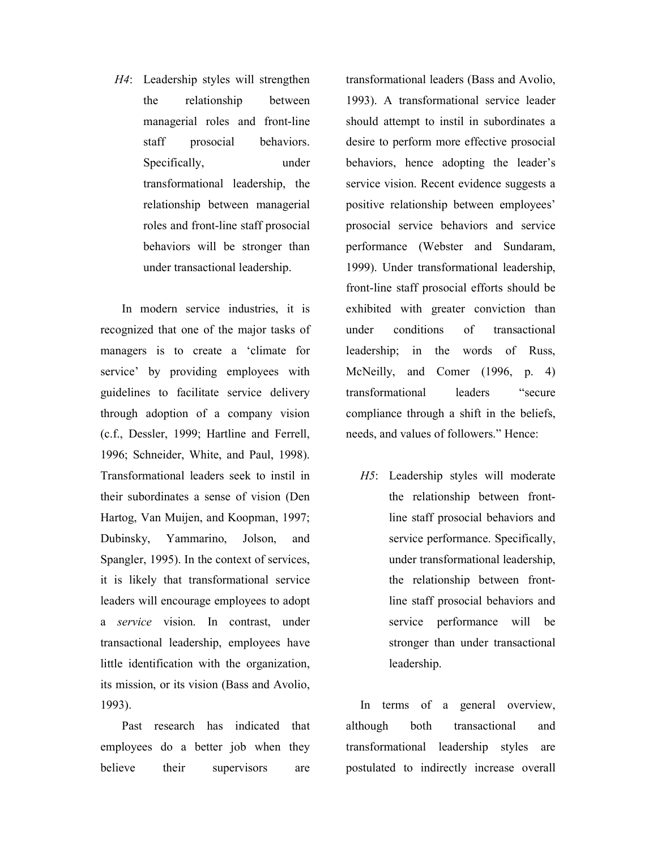H4: Leadership styles will strengthen the relationship between managerial roles and front-line staff prosocial behaviors. Specifically, under transformational leadership, the relationship between managerial roles and front-line staff prosocial behaviors will be stronger than under transactional leadership.

In modern service industries, it is recognized that one of the major tasks of managers is to create a 'climate for service' by providing employees with guidelines to facilitate service delivery through adoption of a company vision (c.f., Dessler, 1999; Hartline and Ferrell, 1996; Schneider, White, and Paul, 1998). Transformational leaders seek to instil in their subordinates a sense of vision (Den Hartog, Van Muijen, and Koopman, 1997; Dubinsky, Yammarino, Jolson, and Spangler, 1995). In the context of services, it is likely that transformational service leaders will encourage employees to adopt a service vision. In contrast, under transactional leadership, employees have little identification with the organization, its mission, or its vision (Bass and Avolio, 1993).

Past research has indicated that employees do a better job when they believe their supervisors are

transformational leaders (Bass and Avolio, 1993). A transformational service leader should attempt to instil in subordinates a desire to perform more effective prosocial behaviors, hence adopting the leader's service vision. Recent evidence suggests a positive relationship between employees' prosocial service behaviors and service performance (Webster and Sundaram, 1999). Under transformational leadership, front-line staff prosocial efforts should be exhibited with greater conviction than under conditions of transactional leadership; in the words of Russ, McNeilly, and Comer (1996, p. 4) transformational leaders "secure compliance through a shift in the beliefs, needs, and values of followers." Hence:

H5: Leadership styles will moderate the relationship between frontline staff prosocial behaviors and service performance. Specifically, under transformational leadership, the relationship between frontline staff prosocial behaviors and service performance will be stronger than under transactional leadership.

In terms of a general overview, although both transactional and transformational leadership styles are postulated to indirectly increase overall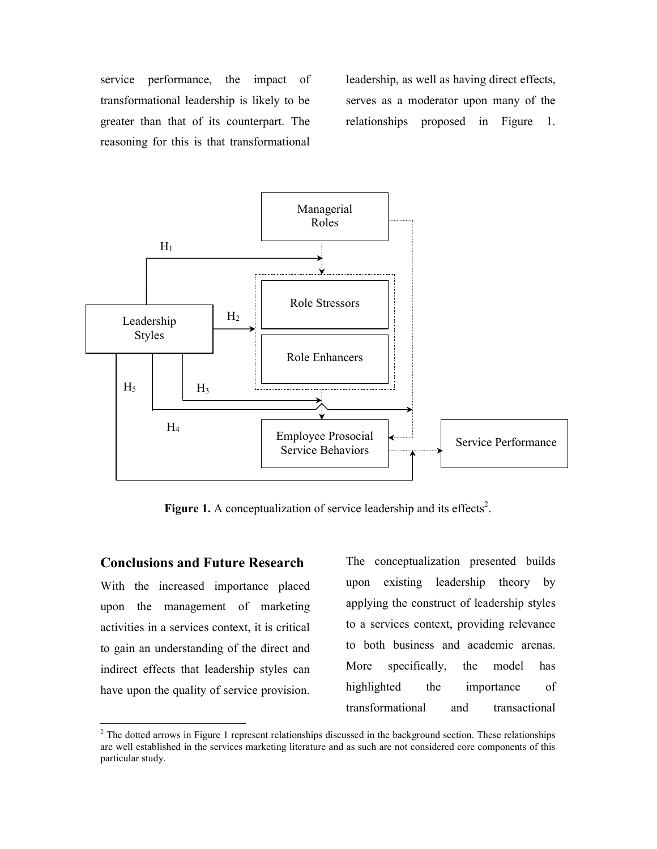service performance, the impact of transformational leadership is likely to be greater than that of its counterpart. The reasoning for this is that transformational

leadership, as well as having direct effects, serves as a moderator upon many of the relationships proposed in Figure 1.



Figure 1. A conceptualization of service leadership and its effects<sup>2</sup>.

## Conclusions and Future Research

With the increased importance placed upon the management of marketing activities in a services context, it is critical to gain an understanding of the direct and indirect effects that leadership styles can have upon the quality of service provision.

-

The conceptualization presented builds upon existing leadership theory by applying the construct of leadership styles to a services context, providing relevance to both business and academic arenas. More specifically, the model has highlighted the importance of transformational and transactional

 $2$  The dotted arrows in Figure 1 represent relationships discussed in the background section. These relationships are well established in the services marketing literature and as such are not considered core components of this particular study.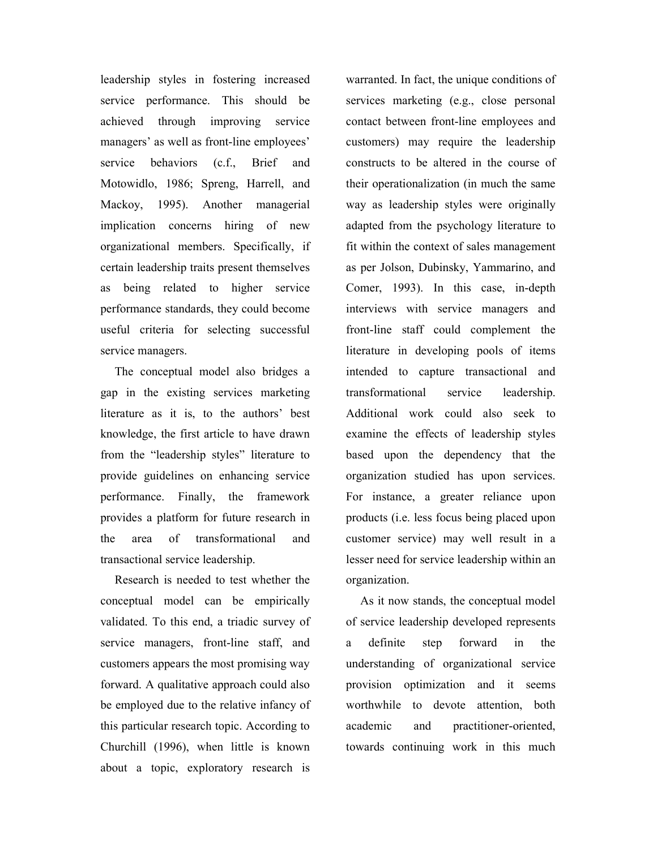leadership styles in fostering increased service performance. This should be achieved through improving service managers' as well as front-line employees' service behaviors (c.f., Brief and Motowidlo, 1986; Spreng, Harrell, and Mackoy, 1995). Another managerial implication concerns hiring of new organizational members. Specifically, if certain leadership traits present themselves as being related to higher service performance standards, they could become useful criteria for selecting successful service managers.

The conceptual model also bridges a gap in the existing services marketing literature as it is, to the authors' best knowledge, the first article to have drawn from the "leadership styles" literature to provide guidelines on enhancing service performance. Finally, the framework provides a platform for future research in the area of transformational and transactional service leadership.

Research is needed to test whether the conceptual model can be empirically validated. To this end, a triadic survey of service managers, front-line staff, and customers appears the most promising way forward. A qualitative approach could also be employed due to the relative infancy of this particular research topic. According to Churchill (1996), when little is known about a topic, exploratory research is warranted. In fact, the unique conditions of services marketing (e.g., close personal contact between front-line employees and customers) may require the leadership constructs to be altered in the course of their operationalization (in much the same way as leadership styles were originally adapted from the psychology literature to fit within the context of sales management as per Jolson, Dubinsky, Yammarino, and Comer, 1993). In this case, in-depth interviews with service managers and front-line staff could complement the literature in developing pools of items intended to capture transactional and transformational service leadership. Additional work could also seek to examine the effects of leadership styles based upon the dependency that the organization studied has upon services. For instance, a greater reliance upon products (i.e. less focus being placed upon customer service) may well result in a lesser need for service leadership within an organization.

As it now stands, the conceptual model of service leadership developed represents a definite step forward in the understanding of organizational service provision optimization and it seems worthwhile to devote attention, both academic and practitioner-oriented, towards continuing work in this much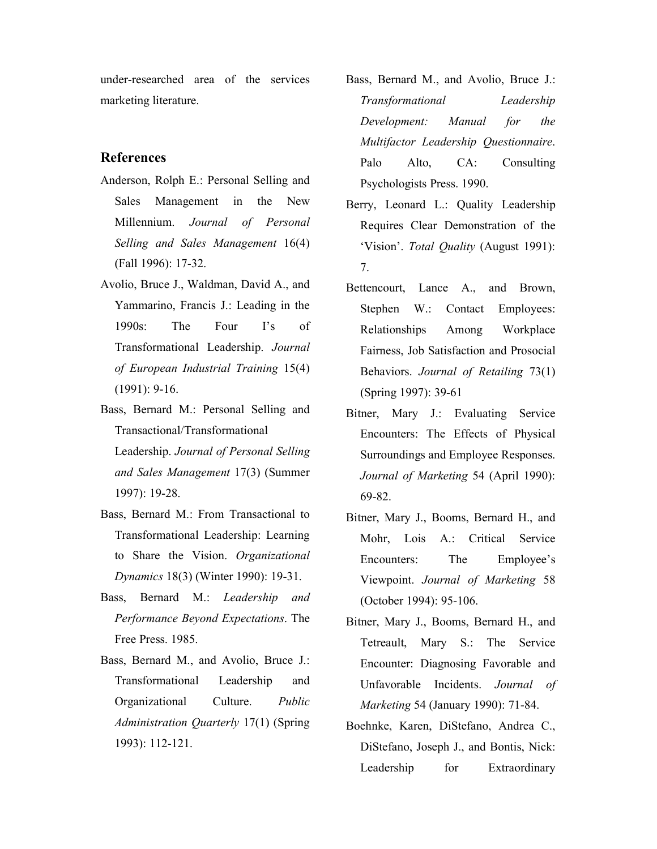under-researched area of the services marketing literature.

## References

- Anderson, Rolph E.: Personal Selling and Sales Management in the New Millennium. Journal of Personal Selling and Sales Management 16(4) (Fall 1996): 17-32.
- Avolio, Bruce J., Waldman, David A., and Yammarino, Francis J.: Leading in the 1990s: The Four I's of Transformational Leadership. Journal of European Industrial Training 15(4) (1991): 9-16.
- Bass, Bernard M.: Personal Selling and Transactional/Transformational Leadership. Journal of Personal Selling and Sales Management 17(3) (Summer 1997): 19-28.
- Bass, Bernard M.: From Transactional to Transformational Leadership: Learning to Share the Vision. Organizational Dynamics 18(3) (Winter 1990): 19-31.
- Bass, Bernard M.: Leadership and Performance Beyond Expectations. The Free Press. 1985.
- Bass, Bernard M., and Avolio, Bruce J.: Transformational Leadership and Organizational Culture. Public Administration Quarterly 17(1) (Spring 1993): 112-121.
- Bass, Bernard M., and Avolio, Bruce J.: Transformational Leadership Development: Manual for the Multifactor Leadership Questionnaire. Palo Alto, CA: Consulting Psychologists Press. 1990.
- Berry, Leonard L.: Quality Leadership Requires Clear Demonstration of the 'Vision'. Total Quality (August 1991): 7.
- Bettencourt, Lance A., and Brown, Stephen W.: Contact Employees: Relationships Among Workplace Fairness, Job Satisfaction and Prosocial Behaviors. Journal of Retailing 73(1) (Spring 1997): 39-61
- Bitner, Mary J.: Evaluating Service Encounters: The Effects of Physical Surroundings and Employee Responses. Journal of Marketing 54 (April 1990): 69-82.
- Bitner, Mary J., Booms, Bernard H., and Mohr, Lois A.: Critical Service Encounters: The Employee's Viewpoint. Journal of Marketing 58 (October 1994): 95-106.
- Bitner, Mary J., Booms, Bernard H., and Tetreault, Mary S.: The Service Encounter: Diagnosing Favorable and Unfavorable Incidents. Journal of Marketing 54 (January 1990): 71-84.
- Boehnke, Karen, DiStefano, Andrea C., DiStefano, Joseph J., and Bontis, Nick: Leadership for Extraordinary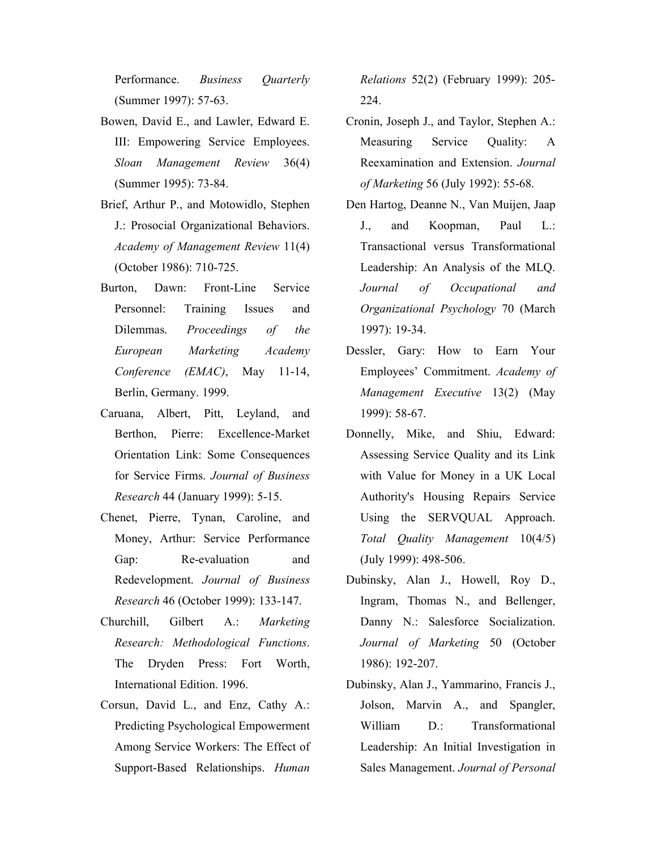Performance. Business Quarterly (Summer 1997): 57-63.

- Bowen, David E., and Lawler, Edward E. III: Empowering Service Employees. Sloan Management Review 36(4) (Summer 1995): 73-84.
- Brief, Arthur P., and Motowidlo, Stephen J.: Prosocial Organizational Behaviors. Academy of Management Review 11(4) (October 1986): 710-725.
- Burton, Dawn: Front-Line Service Personnel: Training Issues and Dilemmas. Proceedings of the European Marketing Academy Conference (EMAC), May 11-14, Berlin, Germany. 1999.
- Caruana, Albert, Pitt, Leyland, and Berthon, Pierre: Excellence-Market Orientation Link: Some Consequences for Service Firms. Journal of Business Research 44 (January 1999): 5-15.
- Chenet, Pierre, Tynan, Caroline, and Money, Arthur: Service Performance Gap: Re-evaluation and Redevelopment. Journal of Business Research 46 (October 1999): 133-147.
- Churchill, Gilbert A.: Marketing Research: Methodological Functions. The Dryden Press: Fort Worth, International Edition. 1996.
- Corsun, David L., and Enz, Cathy A.: Predicting Psychological Empowerment Among Service Workers: The Effect of Support-Based Relationships. Human

Relations 52(2) (February 1999): 205- 224.

- Cronin, Joseph J., and Taylor, Stephen A.: Measuring Service Quality: A Reexamination and Extension. Journal of Marketing 56 (July 1992): 55-68.
- Den Hartog, Deanne N., Van Muijen, Jaap J., and Koopman, Paul L.: Transactional versus Transformational Leadership: An Analysis of the MLQ. Journal of Occupational and Organizational Psychology 70 (March 1997): 19-34.
- Dessler, Gary: How to Earn Your Employees' Commitment. Academy of Management Executive 13(2) (May 1999): 58-67.
- Donnelly, Mike, and Shiu, Edward: Assessing Service Quality and its Link with Value for Money in a UK Local Authority's Housing Repairs Service Using the SERVQUAL Approach. Total Quality Management 10(4/5) (July 1999): 498-506.
- Dubinsky, Alan J., Howell, Roy D., Ingram, Thomas N., and Bellenger, Danny N.: Salesforce Socialization. Journal of Marketing 50 (October 1986): 192-207.
- Dubinsky, Alan J., Yammarino, Francis J., Jolson, Marvin A., and Spangler, William D.: Transformational Leadership: An Initial Investigation in Sales Management. Journal of Personal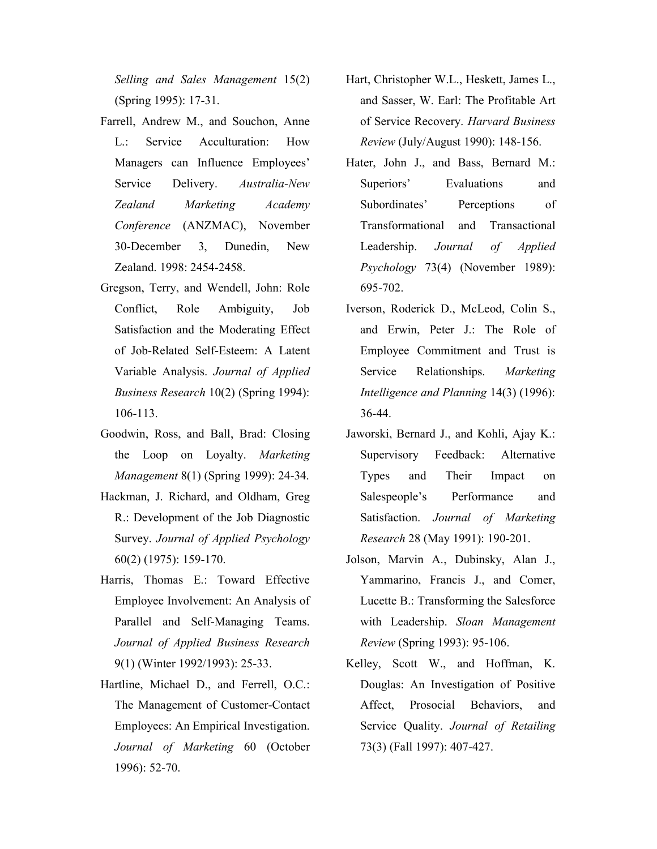Selling and Sales Management 15(2) (Spring 1995): 17-31.

- Farrell, Andrew M., and Souchon, Anne L.: Service Acculturation: How Managers can Influence Employees' Service Delivery. Australia-New Zealand Marketing Academy Conference (ANZMAC), November 30-December 3, Dunedin, New Zealand. 1998: 2454-2458.
- Gregson, Terry, and Wendell, John: Role Conflict, Role Ambiguity, Job Satisfaction and the Moderating Effect of Job-Related Self-Esteem: A Latent Variable Analysis. Journal of Applied Business Research 10(2) (Spring 1994): 106-113.
- Goodwin, Ross, and Ball, Brad: Closing the Loop on Loyalty. Marketing Management 8(1) (Spring 1999): 24-34.
- Hackman, J. Richard, and Oldham, Greg R.: Development of the Job Diagnostic Survey. Journal of Applied Psychology 60(2) (1975): 159-170.
- Harris, Thomas E.: Toward Effective Employee Involvement: An Analysis of Parallel and Self-Managing Teams. Journal of Applied Business Research 9(1) (Winter 1992/1993): 25-33.
- Hartline, Michael D., and Ferrell, O.C.: The Management of Customer-Contact Employees: An Empirical Investigation. Journal of Marketing 60 (October 1996): 52-70.
- Hart, Christopher W.L., Heskett, James L., and Sasser, W. Earl: The Profitable Art of Service Recovery. Harvard Business Review (July/August 1990): 148-156.
- Hater, John J., and Bass, Bernard M.: Superiors' Evaluations and Subordinates' Perceptions of Transformational and Transactional Leadership. Journal of Applied Psychology 73(4) (November 1989): 695-702.
- Iverson, Roderick D., McLeod, Colin S., and Erwin, Peter J.: The Role of Employee Commitment and Trust is Service Relationships. Marketing Intelligence and Planning 14(3) (1996): 36-44.
- Jaworski, Bernard J., and Kohli, Ajay K.: Supervisory Feedback: Alternative Types and Their Impact on Salespeople's Performance and Satisfaction. Journal of Marketing Research 28 (May 1991): 190-201.
- Jolson, Marvin A., Dubinsky, Alan J., Yammarino, Francis J., and Comer, Lucette B.: Transforming the Salesforce with Leadership. Sloan Management Review (Spring 1993): 95-106.
- Kelley, Scott W., and Hoffman, K. Douglas: An Investigation of Positive Affect, Prosocial Behaviors, and Service Quality. Journal of Retailing 73(3) (Fall 1997): 407-427.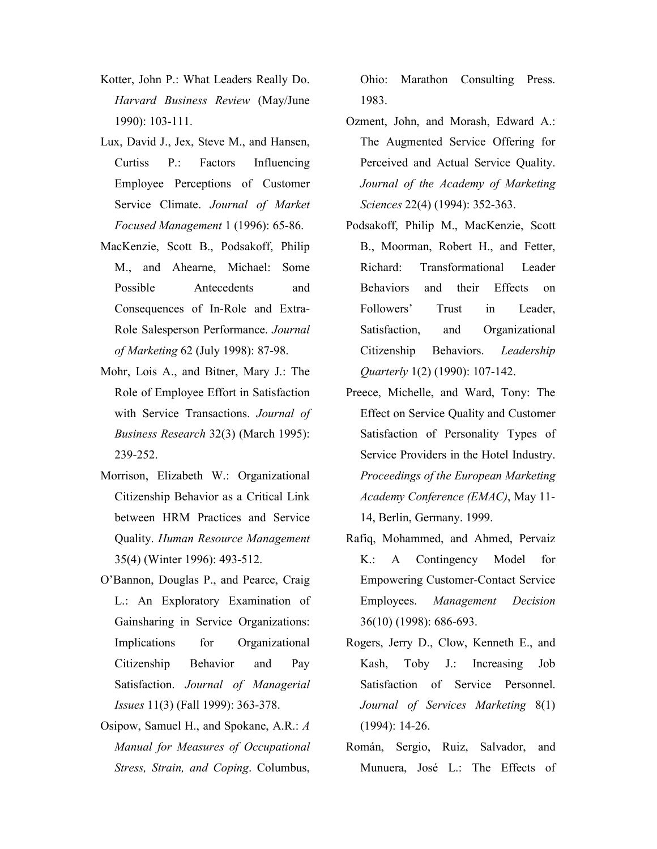- Kotter, John P.: What Leaders Really Do. Harvard Business Review (May/June 1990): 103-111.
- Lux, David J., Jex, Steve M., and Hansen, Curtiss P.: Factors Influencing Employee Perceptions of Customer Service Climate. Journal of Market Focused Management 1 (1996): 65-86.
- MacKenzie, Scott B., Podsakoff, Philip M., and Ahearne, Michael: Some Possible Antecedents and Consequences of In-Role and Extra-Role Salesperson Performance. Journal of Marketing 62 (July 1998): 87-98.
- Mohr, Lois A., and Bitner, Mary J.: The Role of Employee Effort in Satisfaction with Service Transactions. Journal of Business Research 32(3) (March 1995): 239-252.
- Morrison, Elizabeth W.: Organizational Citizenship Behavior as a Critical Link between HRM Practices and Service Quality. Human Resource Management 35(4) (Winter 1996): 493-512.
- O'Bannon, Douglas P., and Pearce, Craig L.: An Exploratory Examination of Gainsharing in Service Organizations: Implications for Organizational Citizenship Behavior and Pay Satisfaction. Journal of Managerial Issues 11(3) (Fall 1999): 363-378.
- Osipow, Samuel H., and Spokane, A.R.: A Manual for Measures of Occupational Stress, Strain, and Coping. Columbus,

Ohio: Marathon Consulting Press. 1983.

- Ozment, John, and Morash, Edward A.: The Augmented Service Offering for Perceived and Actual Service Quality. Journal of the Academy of Marketing Sciences 22(4) (1994): 352-363.
- Podsakoff, Philip M., MacKenzie, Scott B., Moorman, Robert H., and Fetter, Richard: Transformational Leader Behaviors and their Effects on Followers' Trust in Leader, Satisfaction, and Organizational Citizenship Behaviors. Leadership Quarterly 1(2) (1990): 107-142.
- Preece, Michelle, and Ward, Tony: The Effect on Service Quality and Customer Satisfaction of Personality Types of Service Providers in the Hotel Industry. Proceedings of the European Marketing Academy Conference (EMAC), May 11- 14, Berlin, Germany. 1999.
- Rafiq, Mohammed, and Ahmed, Pervaiz K.: A Contingency Model for Empowering Customer-Contact Service Employees. Management Decision 36(10) (1998): 686-693.
- Rogers, Jerry D., Clow, Kenneth E., and Kash, Toby J.: Increasing Job Satisfaction of Service Personnel. Journal of Services Marketing 8(1) (1994): 14-26.
- Román, Sergio, Ruiz, Salvador, and Munuera, José L.: The Effects of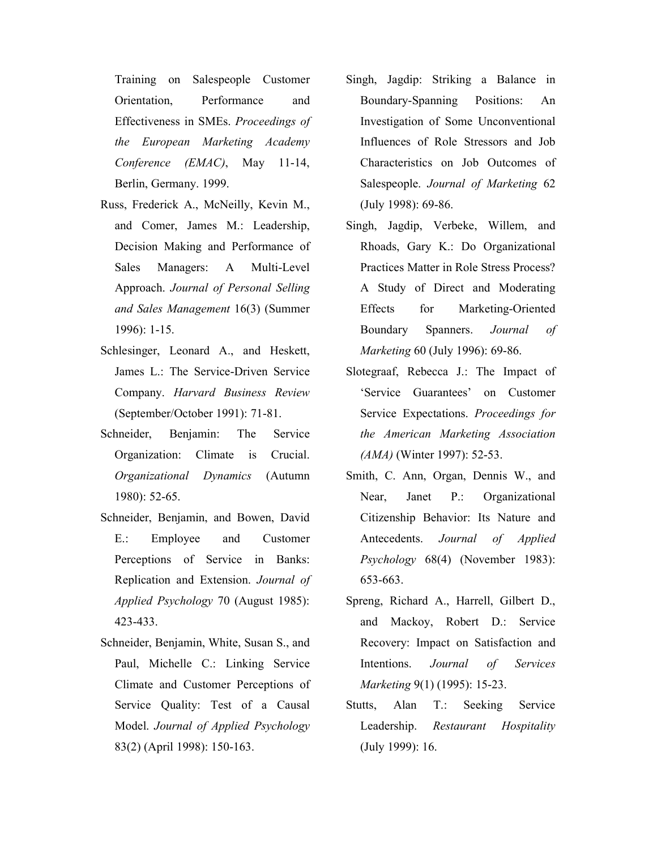Training on Salespeople Customer Orientation, Performance and Effectiveness in SMEs. Proceedings of the European Marketing Academy Conference (EMAC), May 11-14, Berlin, Germany. 1999.

- Russ, Frederick A., McNeilly, Kevin M., and Comer, James M.: Leadership, Decision Making and Performance of Sales Managers: A Multi-Level Approach. Journal of Personal Selling and Sales Management 16(3) (Summer 1996): 1-15.
- Schlesinger, Leonard A., and Heskett, James L.: The Service-Driven Service Company. Harvard Business Review (September/October 1991): 71-81.
- Schneider, Benjamin: The Service Organization: Climate is Crucial. Organizational Dynamics (Autumn 1980): 52-65.
- Schneider, Benjamin, and Bowen, David E.: Employee and Customer Perceptions of Service in Banks: Replication and Extension. Journal of Applied Psychology 70 (August 1985): 423-433.
- Schneider, Benjamin, White, Susan S., and Paul, Michelle C.: Linking Service Climate and Customer Perceptions of Service Quality: Test of a Causal Model. Journal of Applied Psychology 83(2) (April 1998): 150-163.
- Singh, Jagdip: Striking a Balance in Boundary-Spanning Positions: An Investigation of Some Unconventional Influences of Role Stressors and Job Characteristics on Job Outcomes of Salespeople. Journal of Marketing 62 (July 1998): 69-86.
- Singh, Jagdip, Verbeke, Willem, and Rhoads, Gary K.: Do Organizational Practices Matter in Role Stress Process? A Study of Direct and Moderating Effects for Marketing-Oriented Boundary Spanners. Journal of Marketing 60 (July 1996): 69-86.
- Slotegraaf, Rebecca J.: The Impact of 'Service Guarantees' on Customer Service Expectations. Proceedings for the American Marketing Association (AMA) (Winter 1997): 52-53.
- Smith, C. Ann, Organ, Dennis W., and Near, Janet P.: Organizational Citizenship Behavior: Its Nature and Antecedents. Journal of Applied Psychology 68(4) (November 1983): 653-663.
- Spreng, Richard A., Harrell, Gilbert D., and Mackoy, Robert D.: Service Recovery: Impact on Satisfaction and Intentions. Journal of Services Marketing 9(1) (1995): 15-23.
- Stutts, Alan T.: Seeking Service Leadership. Restaurant Hospitality (July 1999): 16.